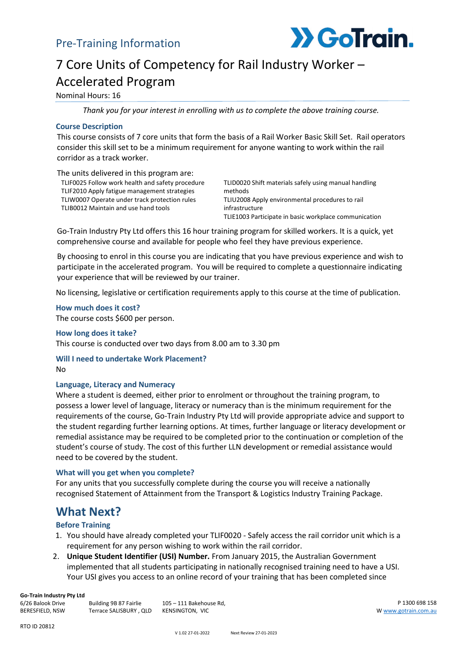

# 7 Core Units of Competency for Rail Industry Worker – Accelerated Program

Nominal Hours: 16

*Thank you for your interest in enrolling with us to complete the above training course.*

#### **Course Description**

This course consists of 7 core units that form the basis of a Rail Worker Basic Skill Set. Rail operators consider this skill set to be a minimum requirement for anyone wanting to work within the rail corridor as a track worker.

The units delivered in this program are: TLIF0025 Follow work health and safety procedure TLIF2010 Apply fatigue management strategies TLIW0007 Operate under track protection rules TLIB0012 Maintain and use hand tools

TLID0020 Shift materials safely using manual handling methods TLIU2008 Apply environmental procedures to rail infrastructure TLIE1003 Participate in basic workplace communication

Go-Train Industry Pty Ltd offers this 16 hour training program for skilled workers. It is a quick, yet comprehensive course and available for people who feel they have previous experience.

By choosing to enrol in this course you are indicating that you have previous experience and wish to participate in the accelerated program. You will be required to complete a questionnaire indicating your experience that will be reviewed by our trainer.

No licensing, legislative or certification requirements apply to this course at the time of publication.

**How much does it cost?** The course costs \$600 per person.

**How long does it take?** This course is conducted over two days from 8.00 am to 3.30 pm

**Will I need to undertake Work Placement?**  $N<sub>0</sub>$ 

#### **Language, Literacy and Numeracy**

Where a student is deemed, either prior to enrolment or throughout the training program, to possess a lower level of language, literacy or numeracy than is the minimum requirement for the requirements of the course, Go-Train Industry Pty Ltd will provide appropriate advice and support to the student regarding further learning options. At times, further language or literacy development or remedial assistance may be required to be completed prior to the continuation or completion of the student's course of study. The cost of this further LLN development or remedial assistance would need to be covered by the student.

#### **What will you get when you complete?**

For any units that you successfully complete during the course you will receive a nationally recognised Statement of Attainment from the Transport & Logistics Industry Training Package.

## **What Next?**

#### **Before Training**

- 1. You should have already completed your TLIF0020 Safely access the rail corridor unit which is a requirement for any person wishing to work within the rail corridor.
- 2. **Unique Student Identifier (USI) Number.** From January 2015, the Australian Government implemented that all students participating in nationally recognised training need to have a USI. Your USI gives you access to an online record of your training that has been completed since

#### **Go-Train Industry Pty Ltd**

6/26 Balook Drive BERESFIELD, NSW Building 9B 87 Fairlie Terrace SALISBURY , QLD KENSINGTON, VIC

105 – 111 Bakehouse Rd,

P 1300 698 158 [W www.gotrain.com.au](http://www.gotrain.com.au/)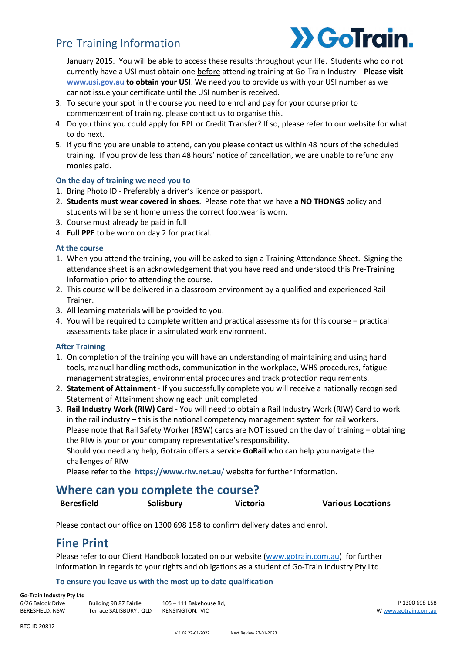## Pre-Training Information



January 2015. You will be able to access these results throughout your life. Students who do not currently have a USI must obtain one before attending training at Go-Train Industry. **Please visit [www.usi.gov.au](http://www.usi.gov.au/) to obtain your USI**. We need you to provide us with your USI number as we cannot issue your certificate until the USI number is received.

- 3. To secure your spot in the course you need to enrol and pay for your course prior to commencement of training, please contact us to organise this.
- 4. Do you think you could apply for RPL or Credit Transfer? If so, please refer to our website for what to do next.
- 5. If you find you are unable to attend, can you please contact us within 48 hours of the scheduled training. If you provide less than 48 hours' notice of cancellation, we are unable to refund any monies paid.

#### **On the day of training we need you to**

- 1. Bring Photo ID Preferably a driver's licence or passport.
- 2. **Students must wear covered in shoes**. Please note that we have **a NO THONGS** policy and students will be sent home unless the correct footwear is worn.
- 3. Course must already be paid in full
- 4. **Full PPE** to be worn on day 2 for practical.

#### **At the course**

- 1. When you attend the training, you will be asked to sign a Training Attendance Sheet. Signing the attendance sheet is an acknowledgement that you have read and understood this Pre-Training Information prior to attending the course.
- 2. This course will be delivered in a classroom environment by a qualified and experienced Rail Trainer.
- 3. All learning materials will be provided to you.
- 4. You will be required to complete written and practical assessments for this course practical assessments take place in a simulated work environment.

#### **After Training**

- 1. On completion of the training you will have an understanding of maintaining and using hand tools, manual handling methods, communication in the workplace, WHS procedures, fatigue management strategies, environmental procedures and track protection requirements.
- 2. **Statement of Attainment** If you successfully complete you will receive a nationally recognised Statement of Attainment showing each unit completed
- 3. **Rail Industry Work (RIW) Card** You will need to obtain a Rail Industry Work (RIW) Card to work in the rail industry – this is the national competency management system for rail workers. Please note that Rail Safety Worker (RSW) cards are NOT issued on the day of training – obtaining the RIW is your or your company representative's responsibility.

Should you need any help, Gotrain offers a service **GoRail** who can help you navigate the challenges of RIW

Please refer to the **[https://www.riw.net.au](https://www.riw.net.au/)**/ website for further information.

### **Where can you complete the course?**

**Beresfield Salisbury Victoria Various Locations**

Please contact our office on 1300 698 158 to confirm delivery dates and enrol.

### **Fine Print**

Please refer to our Client Handbook located on our website [\(www.gotrain.com.au\)](http://www.gotrain.com.au/) for further information in regards to your rights and obligations as a student of Go-Train Industry Pty Ltd.

#### **To ensure you leave us with the most up to date qualification**

**Go-Train Industry Pty Ltd** 6/26 Balook Drive BERESFIELD, NSW

Building 9B 87 Fairlie Terrace SALISBURY , QLD KENSINGTON, VIC

105 – 111 Bakehouse Rd,

P 1300 698 158 [W www.gotrain.com.au](http://www.gotrain.com.au/)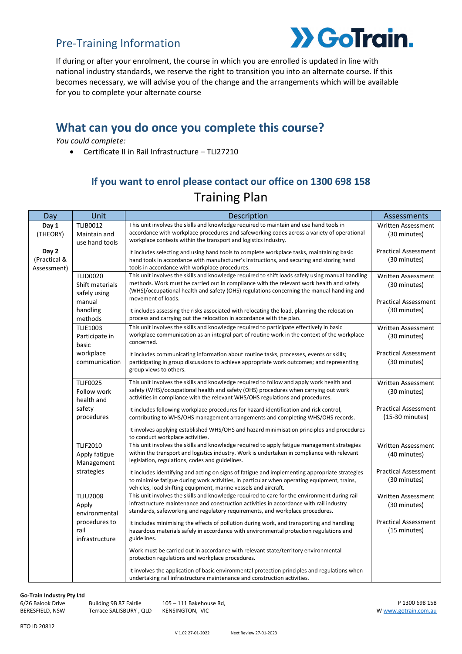## Pre-Training Information



If during or after your enrolment, the course in which you are enrolled is updated in line with national industry standards, we reserve the right to transition you into an alternate course. If this becomes necessary, we will advise you of the change and the arrangements which will be available for you to complete your alternate course

## **What can you do once you complete this course?**

*You could complete:*

• Certificate II in Rail Infrastructure – TLI27210

## **If you want to enrol please contact our office on 1300 698 158** Training Plan

| Day                                  | Unit                                               | <b>Description</b>                                                                                                                                                                                                                                                                        | Assessments                                    |
|--------------------------------------|----------------------------------------------------|-------------------------------------------------------------------------------------------------------------------------------------------------------------------------------------------------------------------------------------------------------------------------------------------|------------------------------------------------|
| Day 1<br>(THEORY)                    | <b>TLIB0012</b><br>Maintain and<br>use hand tools  | This unit involves the skills and knowledge required to maintain and use hand tools in<br>accordance with workplace procedures and safeworking codes across a variety of operational<br>workplace contexts within the transport and logistics industry.                                   | <b>Written Assessment</b><br>(30 minutes)      |
| Day 2<br>(Practical &<br>Assessment) |                                                    | It includes selecting and using hand tools to complete workplace tasks, maintaining basic<br>hand tools in accordance with manufacturer's instructions, and securing and storing hand<br>tools in accordance with workplace procedures.                                                   | <b>Practical Assessment</b><br>(30 minutes)    |
|                                      | <b>TLID0020</b><br>Shift materials<br>safely using | This unit involves the skills and knowledge required to shift loads safely using manual handling<br>methods. Work must be carried out in compliance with the relevant work health and safety<br>(WHS)/occupational health and safety (OHS) regulations concerning the manual handling and | <b>Written Assessment</b><br>(30 minutes)      |
|                                      | manual<br>handling<br>methods                      | movement of loads.<br>It includes assessing the risks associated with relocating the load, planning the relocation<br>process and carrying out the relocation in accordance with the plan.                                                                                                | <b>Practical Assessment</b><br>(30 minutes)    |
|                                      | <b>TLIE1003</b><br>Participate in<br>basic         | This unit involves the skills and knowledge required to participate effectively in basic<br>workplace communication as an integral part of routine work in the context of the workplace<br>concerned.                                                                                     | <b>Written Assessment</b><br>(30 minutes)      |
|                                      | workplace<br>communication                         | It includes communicating information about routine tasks, processes, events or skills;<br>participating in group discussions to achieve appropriate work outcomes; and representing<br>group views to others.                                                                            | <b>Practical Assessment</b><br>(30 minutes)    |
|                                      | <b>TLIF0025</b><br>Follow work<br>health and       | This unit involves the skills and knowledge required to follow and apply work health and<br>safety (WHS)/occupational health and safety (OHS) procedures when carrying out work<br>activities in compliance with the relevant WHS/OHS regulations and procedures.                         | <b>Written Assessment</b><br>(30 minutes)      |
|                                      | safety<br>procedures                               | It includes following workplace procedures for hazard identification and risk control,<br>contributing to WHS/OHS management arrangements and completing WHS/OHS records.                                                                                                                 | <b>Practical Assessment</b><br>(15-30 minutes) |
|                                      |                                                    | It involves applying established WHS/OHS and hazard minimisation principles and procedures<br>to conduct workplace activities.                                                                                                                                                            |                                                |
|                                      | <b>TLIF2010</b><br>Apply fatigue<br>Management     | This unit involves the skills and knowledge required to apply fatigue management strategies<br>within the transport and logistics industry. Work is undertaken in compliance with relevant<br>legislation, regulations, codes and guidelines.                                             | <b>Written Assessment</b><br>(40 minutes)      |
|                                      | strategies                                         | It includes identifying and acting on signs of fatigue and implementing appropriate strategies<br>to minimise fatigue during work activities, in particular when operating equipment, trains,<br>vehicles, load shifting equipment, marine vessels and aircraft.                          | <b>Practical Assessment</b><br>(30 minutes)    |
|                                      | <b>TLIU2008</b><br>Apply<br>environmental          | This unit involves the skills and knowledge required to care for the environment during rail<br>infrastructure maintenance and construction activities in accordance with rail industry<br>standards, safeworking and regulatory requirements, and workplace procedures.                  | Written Assessment<br>(30 minutes)             |
|                                      | procedures to<br>rail<br>infrastructure            | It includes minimising the effects of pollution during work, and transporting and handling<br>hazardous materials safely in accordance with environmental protection regulations and<br>guidelines.                                                                                       | <b>Practical Assessment</b><br>(15 minutes)    |
|                                      |                                                    | Work must be carried out in accordance with relevant state/territory environmental<br>protection regulations and workplace procedures.                                                                                                                                                    |                                                |
|                                      |                                                    | It involves the application of basic environmental protection principles and regulations when<br>undertaking rail infrastructure maintenance and construction activities.                                                                                                                 |                                                |

#### **Go-Train Industry Pty Ltd**

6/26 Balook Drive BERESFIELD, NSW

Building 9B 87 Fairlie

Terrace SALISBURY , QLD KENSINGTON, VIC 105 – 111 Bakehouse Rd,